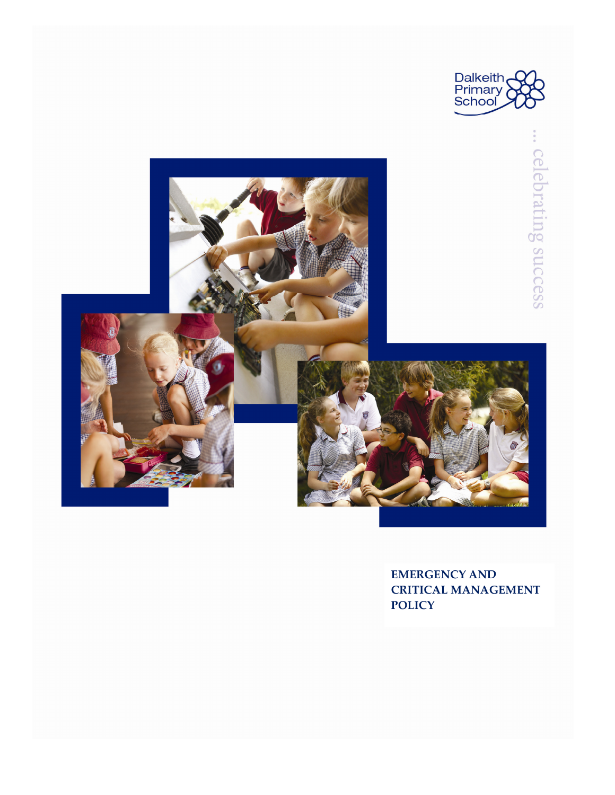



**EMERGENCY AND CRITICAL MANAGEMENT POLICY**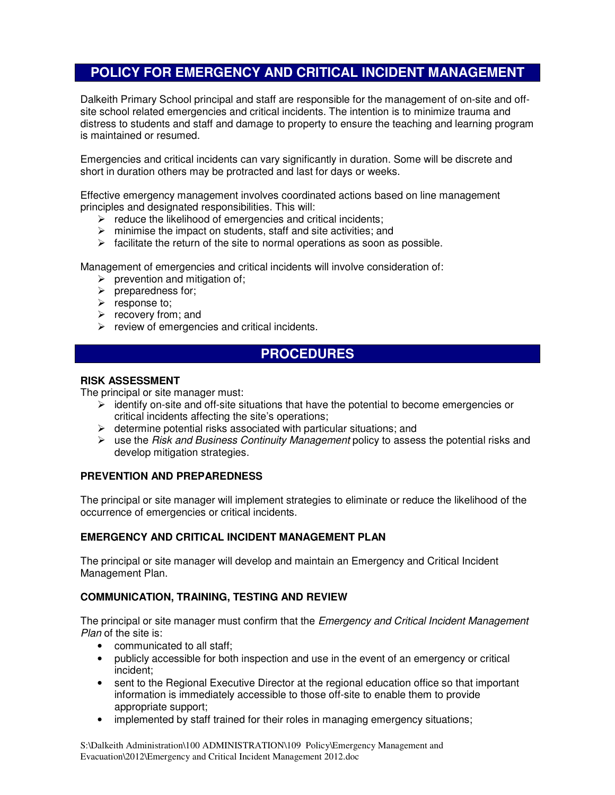# **POLICY FOR EMERGENCY AND CRITICAL INCIDENT MANAGEMENT**

Dalkeith Primary School principal and staff are responsible for the management of on-site and offsite school related emergencies and critical incidents. The intention is to minimize trauma and distress to students and staff and damage to property to ensure the teaching and learning program is maintained or resumed.

Emergencies and critical incidents can vary significantly in duration. Some will be discrete and short in duration others may be protracted and last for days or weeks.

Effective emergency management involves coordinated actions based on line management principles and designated responsibilities. This will:

- $\triangleright$  reduce the likelihood of emergencies and critical incidents;
- $\triangleright$  minimise the impact on students, staff and site activities; and
- $\triangleright$  facilitate the return of the site to normal operations as soon as possible.

Management of emergencies and critical incidents will involve consideration of:

- $\triangleright$  prevention and mitigation of;
- $\triangleright$  preparedness for;
- $\triangleright$  response to;
- $\triangleright$  recovery from; and
- $\triangleright$  review of emergencies and critical incidents.

# **PROCEDURES**

#### **RISK ASSESSMENT**

The principal or site manager must:

- $\triangleright$  identify on-site and off-site situations that have the potential to become emergencies or critical incidents affecting the site's operations;
- $\triangleright$  determine potential risks associated with particular situations; and
- $\triangleright$  use the Risk and Business Continuity Management policy to assess the potential risks and develop mitigation strategies.

### **PREVENTION AND PREPAREDNESS**

The principal or site manager will implement strategies to eliminate or reduce the likelihood of the occurrence of emergencies or critical incidents.

### **EMERGENCY AND CRITICAL INCIDENT MANAGEMENT PLAN**

The principal or site manager will develop and maintain an Emergency and Critical Incident Management Plan.

### **COMMUNICATION, TRAINING, TESTING AND REVIEW**

The principal or site manager must confirm that the *Emergency and Critical Incident Management* Plan of the site is:

- communicated to all staff;
- publicly accessible for both inspection and use in the event of an emergency or critical incident;
- sent to the Regional Executive Director at the regional education office so that important information is immediately accessible to those off-site to enable them to provide appropriate support;
- implemented by staff trained for their roles in managing emergency situations;

S:\Dalkeith Administration\100 ADMINISTRATION\109 Policy\Emergency Management and Evacuation\2012\Emergency and Critical Incident Management 2012.doc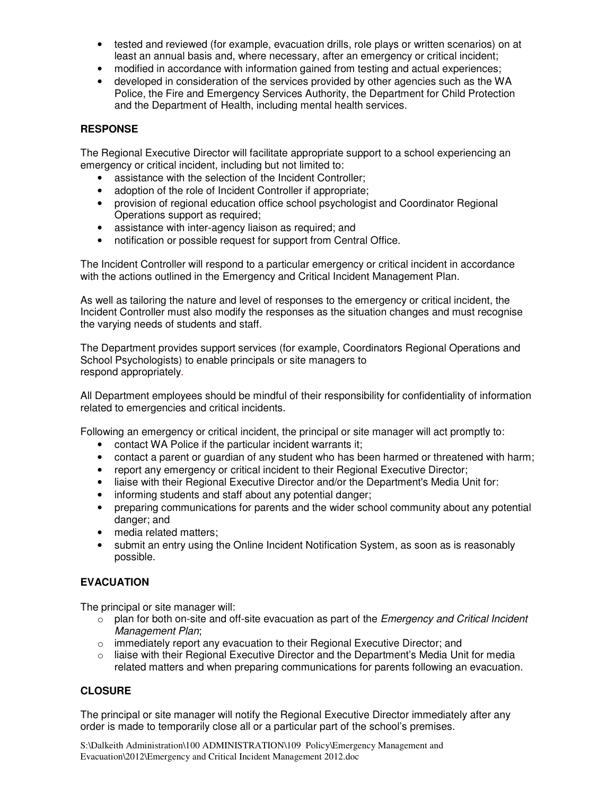- tested and reviewed (for example, evacuation drills, role plays or written scenarios) on at least an annual basis and, where necessary, after an emergency or critical incident;
- modified in accordance with information gained from testing and actual experiences;
- developed in consideration of the services provided by other agencies such as the WA Police, the Fire and Emergency Services Authority, the Department for Child Protection and the Department of Health, including mental health services.

## **RESPONSE**

The Regional Executive Director will facilitate appropriate support to a school experiencing an emergency or critical incident, including but not limited to:

- assistance with the selection of the Incident Controller;
- adoption of the role of Incident Controller if appropriate;
- provision of regional education office school psychologist and Coordinator Regional Operations support as required;
- assistance with inter-agency liaison as required; and
- notification or possible request for support from Central Office.

The Incident Controller will respond to a particular emergency or critical incident in accordance with the actions outlined in the Emergency and Critical Incident Management Plan.

As well as tailoring the nature and level of responses to the emergency or critical incident, the Incident Controller must also modify the responses as the situation changes and must recognise the varying needs of students and staff.

The Department provides support services (for example, Coordinators Regional Operations and School Psychologists) to enable principals or site managers to respond appropriately.

All Department employees should be mindful of their responsibility for confidentiality of information related to emergencies and critical incidents.

Following an emergency or critical incident, the principal or site manager will act promptly to:

- contact WA Police if the particular incident warrants it;
- contact a parent or guardian of any student who has been harmed or threatened with harm;
- report any emergency or critical incident to their Regional Executive Director;
- liaise with their Regional Executive Director and/or the Department's Media Unit for:
- informing students and staff about any potential danger;
- preparing communications for parents and the wider school community about any potential danger; and
- media related matters:
- submit an entry using the Online Incident Notification System, as soon as is reasonably possible.

# **EVACUATION**

The principal or site manager will:

- $\circ$  plan for both on-site and off-site evacuation as part of the *Emergency and Critical Incident* Management Plan;
- $\circ$  immediately report any evacuation to their Regional Executive Director; and
- $\circ$  liaise with their Regional Executive Director and the Department's Media Unit for media related matters and when preparing communications for parents following an evacuation.

### **CLOSURE**

The principal or site manager will notify the Regional Executive Director immediately after any order is made to temporarily close all or a particular part of the school's premises.

S:\Dalkeith Administration\100 ADMINISTRATION\109 Policy\Emergency Management and Evacuation\2012\Emergency and Critical Incident Management 2012.doc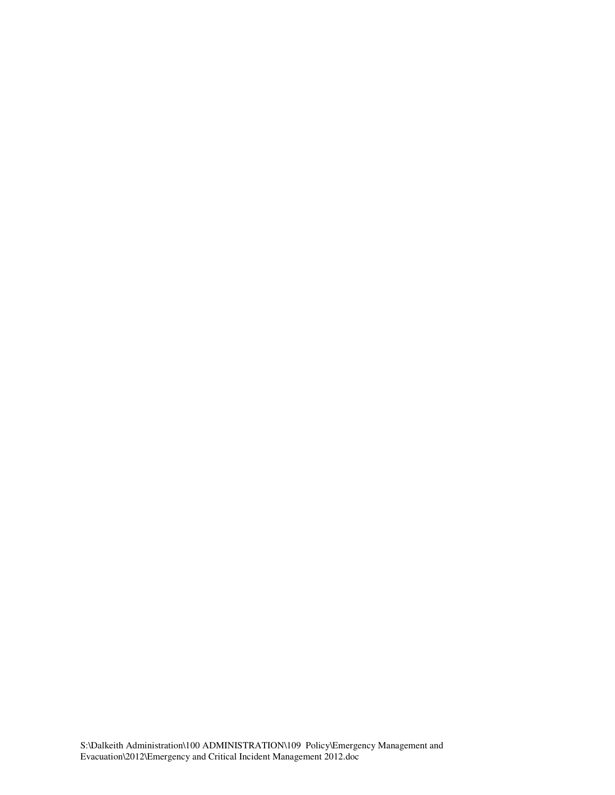S:\Dalkeith Administration\100 ADMINISTRATION\109 Policy\Emergency Management and Evacuation\2012\Emergency and Critical Incident Management 2012.doc